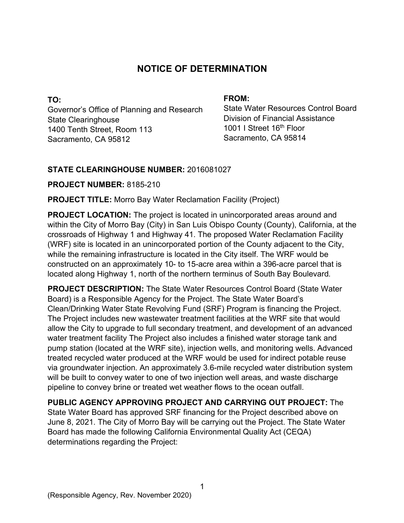# **NOTICE OF DETERMINATION**

**TO:**  Governor's Office of Planning and Research State Clearinghouse 1400 Tenth Street, Room 113 Sacramento, CA 95812

#### **FROM:**

State Water Resources Control Board Division of Financial Assistance 1001 I Street 16<sup>th</sup> Floor Sacramento, CA 95814

# **STATE CLEARINGHOUSE NUMBER:** 2016081027

## **PROJECT NUMBER:** 8185-210

**PROJECT TITLE:** Morro Bay Water Reclamation Facility (Project)

**PROJECT LOCATION:** The project is located in unincorporated areas around and within the City of Morro Bay (City) in San Luis Obispo County (County), California, at the crossroads of Highway 1 and Highway 41. The proposed Water Reclamation Facility (WRF) site is located in an unincorporated portion of the County adjacent to the City, while the remaining infrastructure is located in the City itself. The WRF would be constructed on an approximately 10- to 15-acre area within a 396-acre parcel that is located along Highway 1, north of the northern terminus of South Bay Boulevard.

**PROJECT DESCRIPTION:** The State Water Resources Control Board (State Water Board) is a Responsible Agency for the Project. The State Water Board's Clean/Drinking Water State Revolving Fund (SRF) Program is financing the Project. The Project includes new wastewater treatment facilities at the WRF site that would allow the City to upgrade to full secondary treatment, and development of an advanced water treatment facility The Project also includes a finished water storage tank and pump station (located at the WRF site), injection wells, and monitoring wells. Advanced treated recycled water produced at the WRF would be used for indirect potable reuse via groundwater injection. An approximately 3.6-mile recycled water distribution system will be built to convey water to one of two injection well areas, and waste discharge pipeline to convey brine or treated wet weather flows to the ocean outfall.

**PUBLIC AGENCY APPROVING PROJECT AND CARRYING OUT PROJECT:** The State Water Board has approved SRF financing for the Project described above on June 8, 2021. The City of Morro Bay will be carrying out the Project. The State Water Board has made the following California Environmental Quality Act (CEQA) determinations regarding the Project: